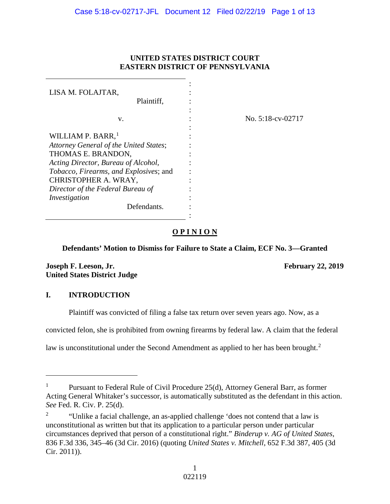# **UNITED STATES DISTRICT COURT EASTERN DISTRICT OF PENNSYLVANIA**

| LISA M. FOLAJTAR,<br>Plaintiff.                                |  |
|----------------------------------------------------------------|--|
| v.                                                             |  |
| WILLIAM P. BARR, <sup>1</sup>                                  |  |
| Attorney General of the United States;                         |  |
| THOMAS E. BRANDON,<br>Acting Director, Bureau of Alcohol,      |  |
| Tobacco, Firearms, and Explosives; and<br>CHRISTOPHER A. WRAY, |  |
| Director of the Federal Bureau of                              |  |
| Investigation<br>Defendants.                                   |  |
|                                                                |  |

No. 5:18-cv-02717

# **O P I N I O N**

:

# **Defendants' Motion to Dismiss for Failure to State a Claim, ECF No. 3—Granted**

**Joseph F. Leeson, Jr. February 22, 2019 United States District Judge**

# **I. INTRODUCTION**

 $\overline{a}$ 

Plaintiff was convicted of filing a false tax return over seven years ago. Now, as a

convicted felon, she is prohibited from owning firearms by federal law. A claim that the federal

law is unconstitutional under the Second Amendment as applied to her has been brought.<sup>[2](#page-0-1)</sup>

<span id="page-0-0"></span>Pursuant to Federal Rule of Civil Procedure 25(d), Attorney General Barr, as former Acting General Whitaker's successor, is automatically substituted as the defendant in this action. *See* Fed. R. Civ. P. 25(d).

<span id="page-0-1"></span><sup>&</sup>lt;sup>2</sup> "Unlike a facial challenge, an as-applied challenge 'does not contend that a law is unconstitutional as written but that its application to a particular person under particular circumstances deprived that person of a constitutional right." *Binderup v. AG of United States*, 836 F.3d 336, 345–46 (3d Cir. 2016) (quoting *United States v. Mitchell*, 652 F.3d 387, 405 (3d Cir. 2011)).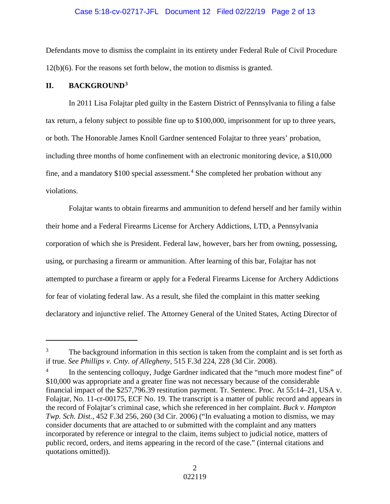## Case 5:18-cv-02717-JFL Document 12 Filed 02/22/19 Page 2 of 13

Defendants move to dismiss the complaint in its entirety under Federal Rule of Civil Procedure 12(b)(6). For the reasons set forth below, the motion to dismiss is granted.

# **II. BACKGROUND[3](#page-1-0)**

 $\overline{a}$ 

In 2011 Lisa Folajtar pled guilty in the Eastern District of Pennsylvania to filing a false tax return, a felony subject to possible fine up to \$100,000, imprisonment for up to three years, or both. The Honorable James Knoll Gardner sentenced Folajtar to three years' probation, including three months of home confinement with an electronic monitoring device, a \$10,000 fine, and a mandatory  $$100$  special assessment.<sup>[4](#page-1-1)</sup> She completed her probation without any violations.

Folajtar wants to obtain firearms and ammunition to defend herself and her family within their home and a Federal Firearms License for Archery Addictions, LTD, a Pennsylvania corporation of which she is President. Federal law, however, bars her from owning, possessing, using, or purchasing a firearm or ammunition. After learning of this bar, Folajtar has not attempted to purchase a firearm or apply for a Federal Firearms License for Archery Addictions for fear of violating federal law. As a result, she filed the complaint in this matter seeking declaratory and injunctive relief. The Attorney General of the United States, Acting Director of

<span id="page-1-0"></span><sup>&</sup>lt;sup>3</sup> The background information in this section is taken from the complaint and is set forth as if true. *See Phillips v. Cnty. of Allegheny*, 515 F.3d 224, 228 (3d Cir. 2008).

<span id="page-1-1"></span>In the sentencing colloquy, Judge Gardner indicated that the "much more modest fine" of \$10,000 was appropriate and a greater fine was not necessary because of the considerable financial impact of the \$257,796.39 restitution payment. Tr. Sentenc. Proc. At 55:14–21, USA v. Folajtar, No. 11-cr-00175, ECF No. 19. The transcript is a matter of public record and appears in the record of Folajtar's criminal case, which she referenced in her complaint. *Buck v. Hampton Twp. Sch. Dist.*, 452 F.3d 256, 260 (3d Cir. 2006) ("In evaluating a motion to dismiss, we may consider documents that are attached to or submitted with the complaint and any matters incorporated by reference or integral to the claim, items subject to judicial notice, matters of public record, orders, and items appearing in the record of the case." (internal citations and quotations omitted)).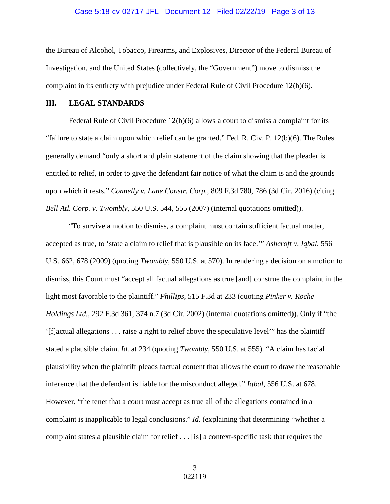## Case 5:18-cv-02717-JFL Document 12 Filed 02/22/19 Page 3 of 13

the Bureau of Alcohol, Tobacco, Firearms, and Explosives, Director of the Federal Bureau of Investigation, and the United States (collectively, the "Government") move to dismiss the complaint in its entirety with prejudice under Federal Rule of Civil Procedure 12(b)(6).

## **III. LEGAL STANDARDS**

Federal Rule of Civil Procedure 12(b)(6) allows a court to dismiss a complaint for its "failure to state a claim upon which relief can be granted." Fed. R. Civ. P. 12(b)(6). The Rules generally demand "only a short and plain statement of the claim showing that the pleader is entitled to relief, in order to give the defendant fair notice of what the claim is and the grounds upon which it rests." *Connelly v. Lane Constr. Corp.*, 809 F.3d 780, 786 (3d Cir. 2016) (citing *Bell Atl. Corp. v. Twombly*, 550 U.S. 544, 555 (2007) (internal quotations omitted)).

"To survive a motion to dismiss, a complaint must contain sufficient factual matter, accepted as true, to 'state a claim to relief that is plausible on its face.'" *Ashcroft v. Iqbal*, 556 U.S. 662, 678 (2009) (quoting *Twombly*, 550 U.S. at 570). In rendering a decision on a motion to dismiss, this Court must "accept all factual allegations as true [and] construe the complaint in the light most favorable to the plaintiff." *Phillips*, 515 F.3d at 233 (quoting *Pinker v. Roche Holdings Ltd.*, 292 F.3d 361, 374 n.7 (3d Cir. 2002) (internal quotations omitted)). Only if "the '[f]actual allegations . . . raise a right to relief above the speculative level'" has the plaintiff stated a plausible claim. *Id.* at 234 (quoting *Twombly*, 550 U.S. at 555). "A claim has facial plausibility when the plaintiff pleads factual content that allows the court to draw the reasonable inference that the defendant is liable for the misconduct alleged." *Iqbal*, 556 U.S. at 678. However, "the tenet that a court must accept as true all of the allegations contained in a complaint is inapplicable to legal conclusions." *Id.* (explaining that determining "whether a complaint states a plausible claim for relief . . . [is] a context-specific task that requires the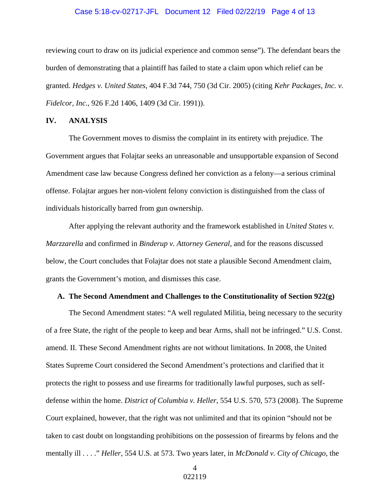## Case 5:18-cv-02717-JFL Document 12 Filed 02/22/19 Page 4 of 13

reviewing court to draw on its judicial experience and common sense"). The defendant bears the burden of demonstrating that a plaintiff has failed to state a claim upon which relief can be granted. *Hedges v. United States*, 404 F.3d 744, 750 (3d Cir. 2005) (citing *Kehr Packages, Inc. v. Fidelcor, Inc.*, 926 F.2d 1406, 1409 (3d Cir. 1991)).

### **IV. ANALYSIS**

The Government moves to dismiss the complaint in its entirety with prejudice. The Government argues that Folajtar seeks an unreasonable and unsupportable expansion of Second Amendment case law because Congress defined her conviction as a felony—a serious criminal offense. Folajtar argues her non-violent felony conviction is distinguished from the class of individuals historically barred from gun ownership.

After applying the relevant authority and the framework established in *United States v. Marzzarella* and confirmed in *Binderup v. Attorney General*, and for the reasons discussed below, the Court concludes that Folajtar does not state a plausible Second Amendment claim, grants the Government's motion, and dismisses this case.

## **A. The Second Amendment and Challenges to the Constitutionality of Section 922(g)**

The Second Amendment states: "A well regulated Militia, being necessary to the security of a free State, the right of the people to keep and bear Arms, shall not be infringed." U.S. Const. amend. II. These Second Amendment rights are not without limitations. In 2008, the United States Supreme Court considered the Second Amendment's protections and clarified that it protects the right to possess and use firearms for traditionally lawful purposes, such as selfdefense within the home. *District of Columbia v. Heller*, 554 U.S. 570, 573 (2008). The Supreme Court explained, however, that the right was not unlimited and that its opinion "should not be taken to cast doubt on longstanding prohibitions on the possession of firearms by felons and the mentally ill . . . ." *Heller*, 554 U.S. at 573. Two years later, in *McDonald v. City of Chicago*, the

> 4 022119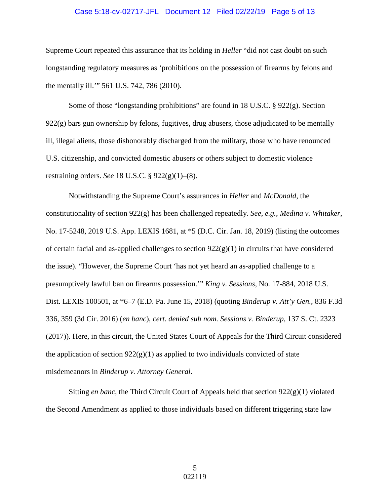## Case 5:18-cv-02717-JFL Document 12 Filed 02/22/19 Page 5 of 13

Supreme Court repeated this assurance that its holding in *Heller* "did not cast doubt on such longstanding regulatory measures as 'prohibitions on the possession of firearms by felons and the mentally ill.'" 561 U.S. 742, 786 (2010).

Some of those "longstanding prohibitions" are found in 18 U.S.C. § 922(g). Section  $922(g)$  bars gun ownership by felons, fugitives, drug abusers, those adjudicated to be mentally ill, illegal aliens, those dishonorably discharged from the military, those who have renounced U.S. citizenship, and convicted domestic abusers or others subject to domestic violence restraining orders. *See* 18 U.S.C. § 922(g)(1)–(8).

Notwithstanding the Supreme Court's assurances in *Heller* and *McDonald*, the constitutionality of section 922(g) has been challenged repeatedly. *See*, *e.g.*, *Medina v. Whitaker*, No. 17-5248, 2019 U.S. App. LEXIS 1681, at \*5 (D.C. Cir. Jan. 18, 2019) (listing the outcomes of certain facial and as-applied challenges to section  $922(g)(1)$  in circuits that have considered the issue). "However, the Supreme Court 'has not yet heard an as-applied challenge to a presumptively lawful ban on firearms possession.'" *King v. Sessions*, No. 17-884, 2018 U.S. Dist. LEXIS 100501, at \*6–7 (E.D. Pa. June 15, 2018) (quoting *Binderup v. Att'y Gen.*, 836 F.3d 336, 359 (3d Cir. 2016) (*en banc*), *cert. denied sub nom. Sessions v. Binderup*, 137 S. Ct. 2323 (2017)). Here, in this circuit, the United States Court of Appeals for the Third Circuit considered the application of section  $922(g)(1)$  as applied to two individuals convicted of state misdemeanors in *Binderup v. Attorney General*.

Sitting *en banc*, the Third Circuit Court of Appeals held that section 922(g)(1) violated the Second Amendment as applied to those individuals based on different triggering state law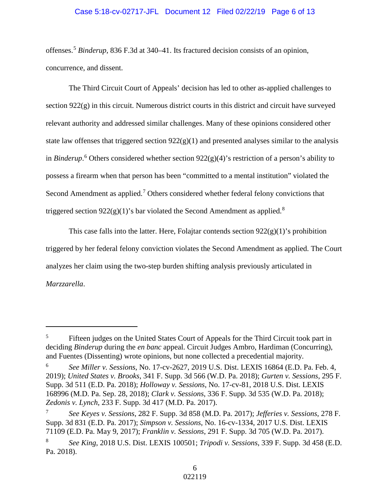# Case 5:18-cv-02717-JFL Document 12 Filed 02/22/19 Page 6 of 13

offenses.[5](#page-5-0) *Binderup*, 836 F.3d at 340–41. Its fractured decision consists of an opinion, concurrence, and dissent.

The Third Circuit Court of Appeals' decision has led to other as-applied challenges to section 922(g) in this circuit. Numerous district courts in this district and circuit have surveyed relevant authority and addressed similar challenges. Many of these opinions considered other state law offenses that triggered section  $922(g)(1)$  and presented analyses similar to the analysis in *Binderup*. [6](#page-5-1) Others considered whether section 922(g)(4)'s restriction of a person's ability to possess a firearm when that person has been "committed to a mental institution" violated the Second Amendment as applied.<sup>[7](#page-5-2)</sup> Others considered whether federal felony convictions that triggered section  $922(g)(1)$ 's bar violated the Second Amendment as applied.<sup>[8](#page-5-3)</sup>

This case falls into the latter. Here, Folajtar contends section  $922(g)(1)$ 's prohibition triggered by her federal felony conviction violates the Second Amendment as applied. The Court analyzes her claim using the two-step burden shifting analysis previously articulated in *Marzzarella*.

 $\overline{a}$ 

<span id="page-5-0"></span><sup>&</sup>lt;sup>5</sup> Fifteen judges on the United States Court of Appeals for the Third Circuit took part in deciding *Binderup* during the *en banc* appeal. Circuit Judges Ambro, Hardiman (Concurring), and Fuentes (Dissenting) wrote opinions, but none collected a precedential majority.

<span id="page-5-1"></span><sup>6</sup> *See Miller v. Sessions*, No. 17-cv-2627, 2019 U.S. Dist. LEXIS 16864 (E.D. Pa. Feb. 4, 2019); *United States v. Brooks*, 341 F. Supp. 3d 566 (W.D. Pa. 2018); *Gurten v. Sessions*, 295 F. Supp. 3d 511 (E.D. Pa. 2018); *Holloway v. Sessions*, No. 17-cv-81, 2018 U.S. Dist. LEXIS 168996 (M.D. Pa. Sep. 28, 2018); *Clark v. Sessions*, 336 F. Supp. 3d 535 (W.D. Pa. 2018); *Zedonis v. Lynch*, 233 F. Supp. 3d 417 (M.D. Pa. 2017).

<span id="page-5-2"></span><sup>7</sup> *See Keyes v. Sessions*, 282 F. Supp. 3d 858 (M.D. Pa. 2017); *Jefferies v. Sessions*, 278 F. Supp. 3d 831 (E.D. Pa. 2017); *Simpson v. Sessions*, No. 16-cv-1334, 2017 U.S. Dist. LEXIS 71109 (E.D. Pa. May 9, 2017); *Franklin v. Sessions*, 291 F. Supp. 3d 705 (W.D. Pa. 2017).

<span id="page-5-3"></span><sup>8</sup> *See King*, 2018 U.S. Dist. LEXIS 100501; *Tripodi v. Sessions*, 339 F. Supp. 3d 458 (E.D. Pa. 2018).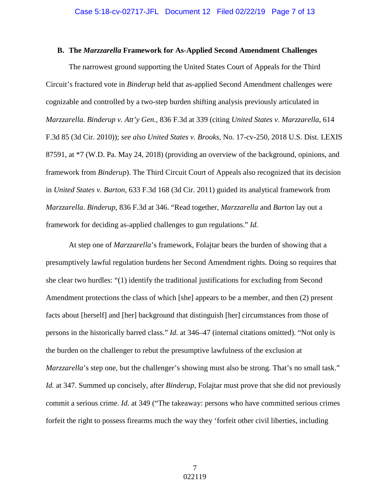### **B. The** *Marzzarella* **Framework for As-Applied Second Amendment Challenges**

The narrowest ground supporting the United States Court of Appeals for the Third Circuit's fractured vote in *Binderup* held that as-applied Second Amendment challenges were cognizable and controlled by a two-step burden shifting analysis previously articulated in *Marzzarella*. *Binderup v. Att'y Gen.*, 836 F.3d at 339 (citing *United States v. Marzzarella*, 614 F.3d 85 (3d Cir. 2010)); *see also United States v. Brooks*, No. 17-cv-250, 2018 U.S. Dist. LEXIS 87591, at \*7 (W.D. Pa. May 24, 2018) (providing an overview of the background, opinions, and framework from *Binderup*). The Third Circuit Court of Appeals also recognized that its decision in *United States v. Barton*, 633 F.3d 168 (3d Cir. 2011) guided its analytical framework from *Marzzarella*. *Binderup*, 836 F.3d at 346. "Read together, *Marzzarella* and *Barton* lay out a framework for deciding as-applied challenges to gun regulations." *Id.*

At step one of *Marzzarella*'s framework, Folajtar bears the burden of showing that a presumptively lawful regulation burdens her Second Amendment rights. Doing so requires that she clear two hurdles: "(1) identify the traditional justifications for excluding from Second Amendment protections the class of which [she] appears to be a member, and then (2) present facts about [herself] and [her] background that distinguish [her] circumstances from those of persons in the historically barred class." *Id.* at 346–47 (internal citations omitted). "Not only is the burden on the challenger to rebut the presumptive lawfulness of the exclusion at *Marzzarella*'s step one, but the challenger's showing must also be strong. That's no small task." *Id.* at 347. Summed up concisely, after *Binderup,* Folajtar must prove that she did not previously commit a serious crime. *Id.* at 349 ("The takeaway: persons who have committed serious crimes forfeit the right to possess firearms much the way they 'forfeit other civil liberties, including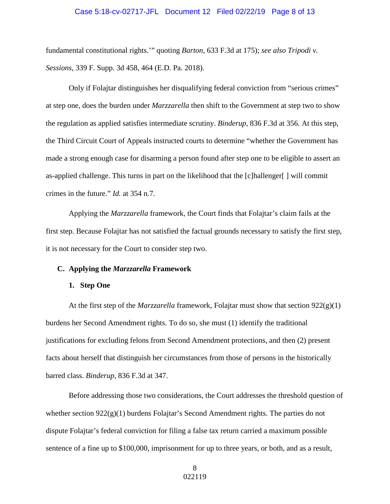## Case 5:18-cv-02717-JFL Document 12 Filed 02/22/19 Page 8 of 13

fundamental constitutional rights.'" quoting *Barton*, 633 F.3d at 175); *see also Tripodi v. Sessions*, 339 F. Supp. 3d 458, 464 (E.D. Pa. 2018).

Only if Folajtar distinguishes her disqualifying federal conviction from "serious crimes" at step one, does the burden under *Marzzarella* then shift to the Government at step two to show the regulation as applied satisfies intermediate scrutiny. *Binderup*, 836 F.3d at 356. At this step, the Third Circuit Court of Appeals instructed courts to determine "whether the Government has made a strong enough case for disarming a person found after step one to be eligible to assert an as-applied challenge. This turns in part on the likelihood that the [c]hallenger[ ] will commit crimes in the future." *Id.* at 354 n.7.

Applying the *Marzzarella* framework, the Court finds that Folajtar's claim fails at the first step. Because Folajtar has not satisfied the factual grounds necessary to satisfy the first step, it is not necessary for the Court to consider step two.

#### **C. Applying the** *Marzzarella* **Framework**

#### **1. Step One**

At the first step of the *Marzzarella* framework, Folajtar must show that section 922(g)(1) burdens her Second Amendment rights. To do so, she must (1) identify the traditional justifications for excluding felons from Second Amendment protections, and then (2) present facts about herself that distinguish her circumstances from those of persons in the historically barred class. *Binderup*, 836 F.3d at 347.

Before addressing those two considerations, the Court addresses the threshold question of whether section  $922(g)(1)$  burdens Folajtar's Second Amendment rights. The parties do not dispute Folajtar's federal conviction for filing a false tax return carried a maximum possible sentence of a fine up to \$100,000, imprisonment for up to three years, or both, and as a result,

> 8 022119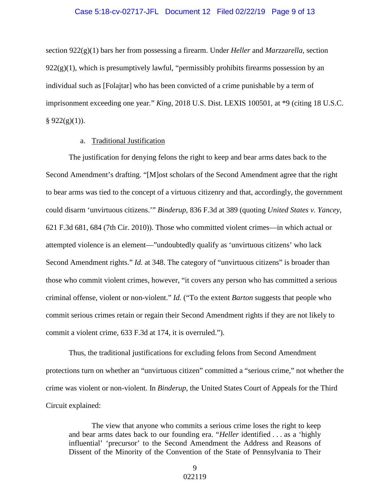## Case 5:18-cv-02717-JFL Document 12 Filed 02/22/19 Page 9 of 13

section 922(g)(1) bars her from possessing a firearm. Under *Heller* and *Marzzarella*, section  $922(g)(1)$ , which is presumptively lawful, "permissibly prohibits firearms possession by an individual such as [Folajtar] who has been convicted of a crime punishable by a term of imprisonment exceeding one year." *King*, 2018 U.S. Dist. LEXIS 100501, at \*9 (citing 18 U.S.C.  $§ 922(g)(1)$ .

# a. Traditional Justification

The justification for denying felons the right to keep and bear arms dates back to the Second Amendment's drafting. "[M]ost scholars of the Second Amendment agree that the right to bear arms was tied to the concept of a virtuous citizenry and that, accordingly, the government could disarm 'unvirtuous citizens.'" *Binderup*, 836 F.3d at 389 (quoting *United States v. Yancey*, 621 F.3d 681, 684 (7th Cir. 2010)). Those who committed violent crimes—in which actual or attempted violence is an element—"undoubtedly qualify as 'unvirtuous citizens' who lack Second Amendment rights." *Id.* at 348. The category of "unvirtuous citizens" is broader than those who commit violent crimes, however, "it covers any person who has committed a serious criminal offense, violent or non-violent." *Id.* ("To the extent *Barton* suggests that people who commit serious crimes retain or regain their Second Amendment rights if they are not likely to commit a violent crime, 633 F.3d at 174, it is overruled.").

Thus, the traditional justifications for excluding felons from Second Amendment protections turn on whether an "unvirtuous citizen" committed a "serious crime," not whether the crime was violent or non-violent. In *Binderup*, the United States Court of Appeals for the Third Circuit explained:

The view that anyone who commits a serious crime loses the right to keep and bear arms dates back to our founding era. "*Heller* identified . . . as a 'highly influential' 'precursor' to the Second Amendment the Address and Reasons of Dissent of the Minority of the Convention of the State of Pennsylvania to Their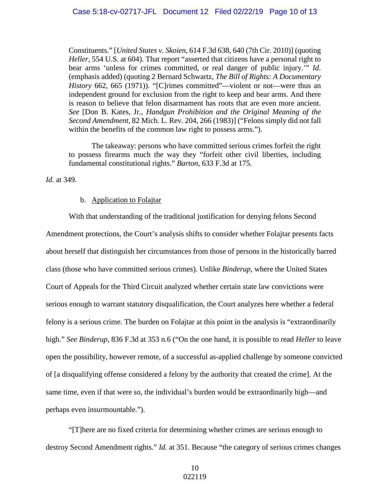Constituents." [*United States v. Skoien*, 614 F.3d 638, 640 (7th Cir. 2010)] (quoting *Heller*, 554 U.S. at 604). That report "asserted that citizens have a personal right to bear arms 'unless for crimes committed, or real danger of public injury.'" *Id*. (emphasis added) (quoting 2 Bernard Schwartz, *The Bill of Rights: A Documentary History* 662, 665 (1971)). "[C]rimes committed"—violent or not—were thus an independent ground for exclusion from the right to keep and bear arms. And there is reason to believe that felon disarmament has roots that are even more ancient. *See* [Don B. Kates, Jr., *Handgun Prohibition and the Original Meaning of the Second Amendment*, 82 Mich. L. Rev. 204, 266 (1983)] ("Felons simply did not fall within the benefits of the common law right to possess arms.").

The takeaway: persons who have committed serious crimes forfeit the right to possess firearms much the way they "forfeit other civil liberties, including fundamental constitutional rights." *Barton*, 633 F.3d at 175.

*Id.* at 349.

### b. Application to Folajtar

With that understanding of the traditional justification for denying felons Second Amendment protections, the Court's analysis shifts to consider whether Folajtar presents facts about herself that distinguish her circumstances from those of persons in the historically barred class (those who have committed serious crimes). Unlike *Binderup*, where the United States Court of Appeals for the Third Circuit analyzed whether certain state law convictions were serious enough to warrant statutory disqualification, the Court analyzes here whether a federal felony is a serious crime. The burden on Folajtar at this point in the analysis is "extraordinarily high." *See Binderup*, 836 F.3d at 353 n.6 ("On the one hand, it is possible to read *Heller* to leave open the possibility, however remote, of a successful as-applied challenge by someone convicted of [a disqualifying offense considered a felony by the authority that created the crime]. At the same time, even if that were so, the individual's burden would be extraordinarily high—and perhaps even insurmountable.").

"[T]here are no fixed criteria for determining whether crimes are serious enough to destroy Second Amendment rights." *Id.* at 351. Because "the category of serious crimes changes

> 10 022119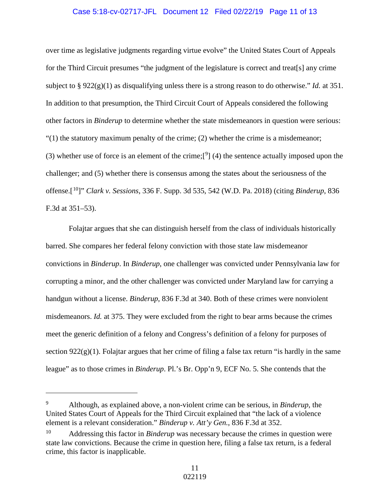## Case 5:18-cv-02717-JFL Document 12 Filed 02/22/19 Page 11 of 13

over time as legislative judgments regarding virtue evolve" the United States Court of Appeals for the Third Circuit presumes "the judgment of the legislature is correct and treat[s] any crime subject to § 922(g)(1) as disqualifying unless there is a strong reason to do otherwise." *Id.* at 351. In addition to that presumption, the Third Circuit Court of Appeals considered the following other factors in *Binderup* to determine whether the state misdemeanors in question were serious:  $(1)$  the statutory maximum penalty of the crime; (2) whether the crime is a misdemeanor; (3) whether use of force is an element of the crime;  $[9]$  $[9]$  $[9]$  (4) the sentence actually imposed upon the challenger; and (5) whether there is consensus among the states about the seriousness of the offense.[[10](#page-10-1)]" *Clark v. Sessions*, 336 F. Supp. 3d 535, 542 (W.D. Pa. 2018) (citing *Binderup*, 836 F.3d at 351–53).

Folajtar argues that she can distinguish herself from the class of individuals historically barred. She compares her federal felony conviction with those state law misdemeanor convictions in *Binderup*. In *Binderup*, one challenger was convicted under Pennsylvania law for corrupting a minor, and the other challenger was convicted under Maryland law for carrying a handgun without a license. *Binderup*, 836 F.3d at 340. Both of these crimes were nonviolent misdemeanors. *Id.* at 375. They were excluded from the right to bear arms because the crimes meet the generic definition of a felony and Congress's definition of a felony for purposes of section  $922(g)(1)$ . Folajtar argues that her crime of filing a false tax return "is hardly in the same league" as to those crimes in *Binderup*. Pl.'s Br. Opp'n 9, ECF No. 5. She contends that the

 $\overline{a}$ 

<span id="page-10-0"></span><sup>9</sup> Although, as explained above, a non-violent crime can be serious, in *Binderup*, the United States Court of Appeals for the Third Circuit explained that "the lack of a violence element is a relevant consideration." *Binderup v. Att'y Gen.*, 836 F.3d at 352.

<span id="page-10-1"></span><sup>&</sup>lt;sup>10</sup> Addressing this factor in *Binderup* was necessary because the crimes in question were state law convictions. Because the crime in question here, filing a false tax return, is a federal crime, this factor is inapplicable.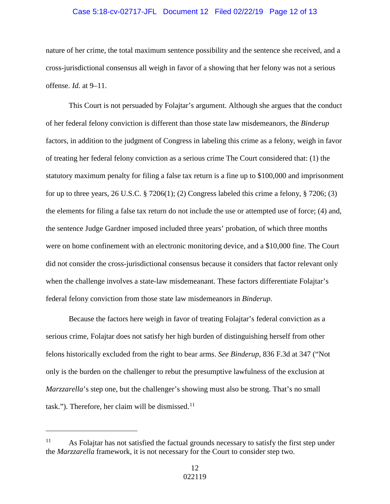## Case 5:18-cv-02717-JFL Document 12 Filed 02/22/19 Page 12 of 13

nature of her crime, the total maximum sentence possibility and the sentence she received, and a cross-jurisdictional consensus all weigh in favor of a showing that her felony was not a serious offense. *Id.* at 9–11.

This Court is not persuaded by Folajtar's argument. Although she argues that the conduct of her federal felony conviction is different than those state law misdemeanors, the *Binderup* factors, in addition to the judgment of Congress in labeling this crime as a felony, weigh in favor of treating her federal felony conviction as a serious crime The Court considered that: (1) the statutory maximum penalty for filing a false tax return is a fine up to \$100,000 and imprisonment for up to three years, 26 U.S.C.  $\S 7206(1)$ ; (2) Congress labeled this crime a felony,  $\S 7206$ ; (3) the elements for filing a false tax return do not include the use or attempted use of force; (4) and, the sentence Judge Gardner imposed included three years' probation, of which three months were on home confinement with an electronic monitoring device, and a \$10,000 fine. The Court did not consider the cross-jurisdictional consensus because it considers that factor relevant only when the challenge involves a state-law misdemeanant. These factors differentiate Folajtar's federal felony conviction from those state law misdemeanors in *Binderup*.

Because the factors here weigh in favor of treating Folajtar's federal conviction as a serious crime, Folajtar does not satisfy her high burden of distinguishing herself from other felons historically excluded from the right to bear arms. *See Binderup*, 836 F.3d at 347 ("Not only is the burden on the challenger to rebut the presumptive lawfulness of the exclusion at *Marzzarella*'s step one, but the challenger's showing must also be strong. That's no small task."). Therefore, her claim will be dismissed. $11$ 

 $\overline{a}$ 

<span id="page-11-0"></span> $11$  As Folajtar has not satisfied the factual grounds necessary to satisfy the first step under the *Marzzarella* framework, it is not necessary for the Court to consider step two.